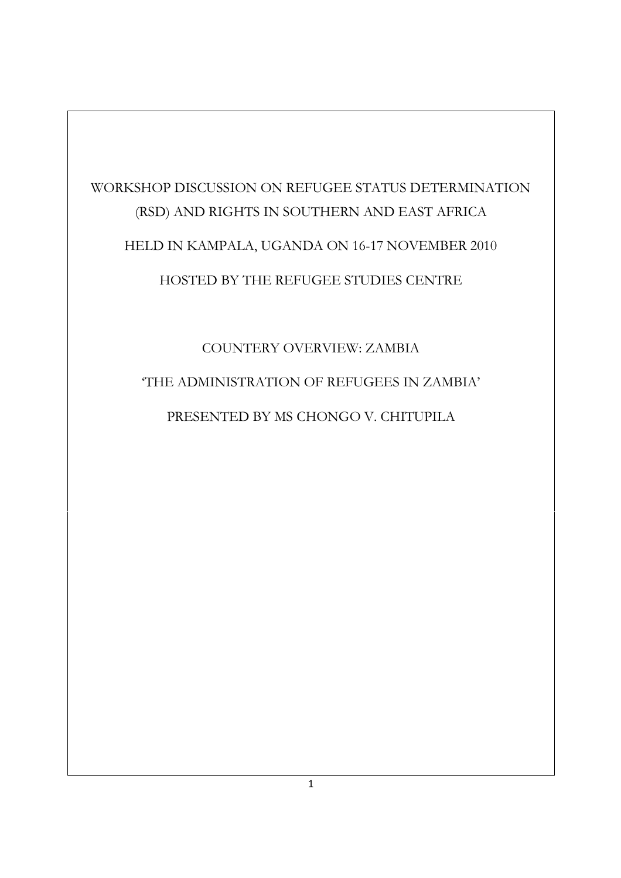# WORKSHOP DISCUSSION ON REFUGEE STATUS DETERMINATION (RSD) AND RIGHTS IN SOUTHERN AND EAST AFRICA HELD IN KAMPALA, UGANDA ON 16-17 NOVEMBER 2010 HOSTED BY THE REFUGEE STUDIES CENTRE

# COUNTERY OVERVIEW: ZAMBIA 'THE ADMINISTRATION OF REFUGEES IN ZAMBIA' PRESENTED BY MS CHONGO V. CHITUPILA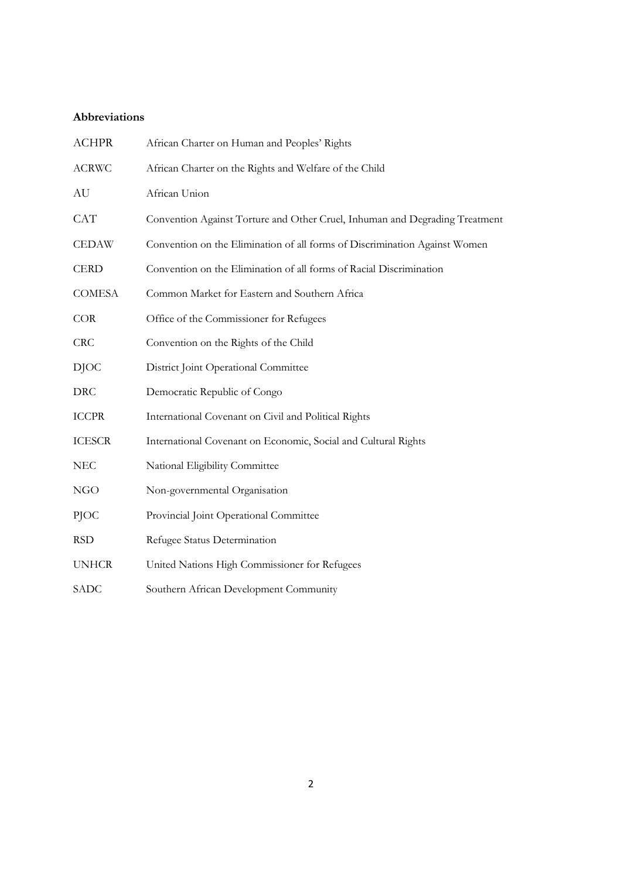# **Abbreviations**

| <b>ACHPR</b>  | African Charter on Human and Peoples' Rights                                |
|---------------|-----------------------------------------------------------------------------|
| <b>ACRWC</b>  | African Charter on the Rights and Welfare of the Child                      |
| AU            | African Union                                                               |
| <b>CAT</b>    | Convention Against Torture and Other Cruel, Inhuman and Degrading Treatment |
| <b>CEDAW</b>  | Convention on the Elimination of all forms of Discrimination Against Women  |
| <b>CERD</b>   | Convention on the Elimination of all forms of Racial Discrimination         |
| <b>COMESA</b> | Common Market for Eastern and Southern Africa                               |
| COR           | Office of the Commissioner for Refugees                                     |
| <b>CRC</b>    | Convention on the Rights of the Child                                       |
| <b>DJOC</b>   | District Joint Operational Committee                                        |
| <b>DRC</b>    | Democratic Republic of Congo                                                |
| <b>ICCPR</b>  | International Covenant on Civil and Political Rights                        |
| <b>ICESCR</b> | International Covenant on Economic, Social and Cultural Rights              |
| <b>NEC</b>    | National Eligibility Committee                                              |
| <b>NGO</b>    | Non-governmental Organisation                                               |
| PJOC          | Provincial Joint Operational Committee                                      |
| <b>RSD</b>    | Refugee Status Determination                                                |
| <b>UNHCR</b>  | United Nations High Commissioner for Refugees                               |
| SADC          | Southern African Development Community                                      |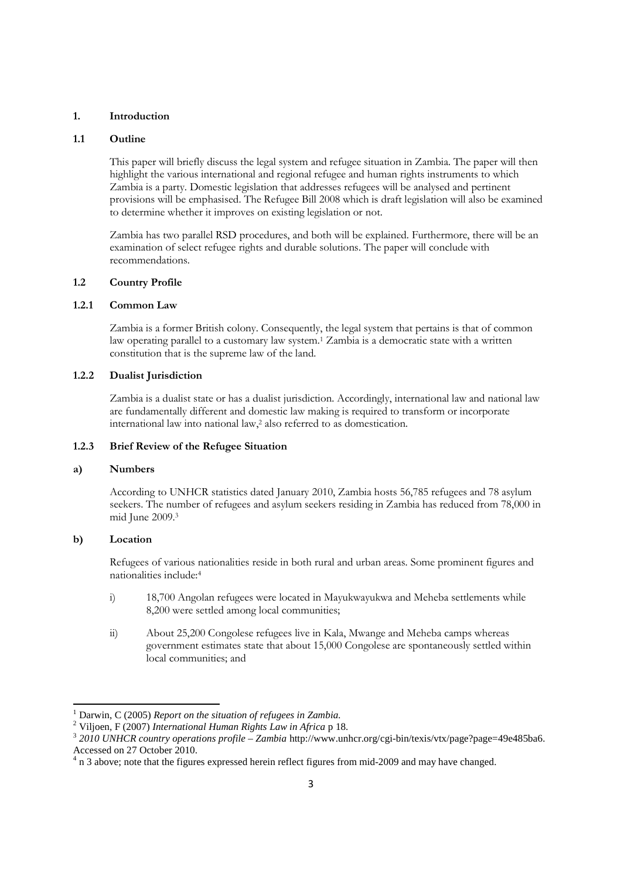#### **1. Introduction**

#### **1.1 Outline**

This paper will briefly discuss the legal system and refugee situation in Zambia. The paper will then highlight the various international and regional refugee and human rights instruments to which Zambia is a party. Domestic legislation that addresses refugees will be analysed and pertinent provisions will be emphasised. The Refugee Bill 2008 which is draft legislation will also be examined to determine whether it improves on existing legislation or not.

Zambia has two parallel RSD procedures, and both will be explained. Furthermore, there will be an examination of select refugee rights and durable solutions. The paper will conclude with recommendations.

# **1.2 Country Profile**

# **1.2.1 Common Law**

Zambia is a former British colony. Consequently, the legal system that pertains is that of common law operating parallel to a customary law system.<sup>1</sup> Zambia is a democratic state with a written constitution that is the supreme law of the land.

## **1.2.2 Dualist Jurisdiction**

Zambia is a dualist state or has a dualist jurisdiction. Accordingly, international law and national law are fundamentally different and domestic law making is required to transform or incorporate international law into national law,<sup>2</sup> also referred to as domestication.

#### **1.2.3 Brief Review of the Refugee Situation**

#### **a) Numbers**

According to UNHCR statistics dated January 2010, Zambia hosts 56,785 refugees and 78 asylum seekers. The number of refugees and asylum seekers residing in Zambia has reduced from 78,000 in mid June 2009.<sup>3</sup>

#### **b) Location**

Refugees of various nationalities reside in both rural and urban areas. Some prominent figures and nationalities include:<sup>4</sup>

- i) 18,700 Angolan refugees were located in Mayukwayukwa and Meheba settlements while 8,200 were settled among local communities;
- ii) About 25,200 Congolese refugees live in Kala, Mwange and Meheba camps whereas government estimates state that about 15,000 Congolese are spontaneously settled within local communities; and

<sup>1</sup> Darwin, C (2005) *Report on the situation of refugees in Zambia.*

<sup>2</sup> Viljoen, F (2007) *International Human Rights Law in Africa* p 18.

<sup>3</sup> *2010 UNHCR country operations profile – Zambia* http://www.unhcr.org/cgi-bin/texis/vtx/page?page=49e485ba6. Accessed on 27 October 2010.

 $4$  n 3 above; note that the figures expressed herein reflect figures from mid-2009 and may have changed.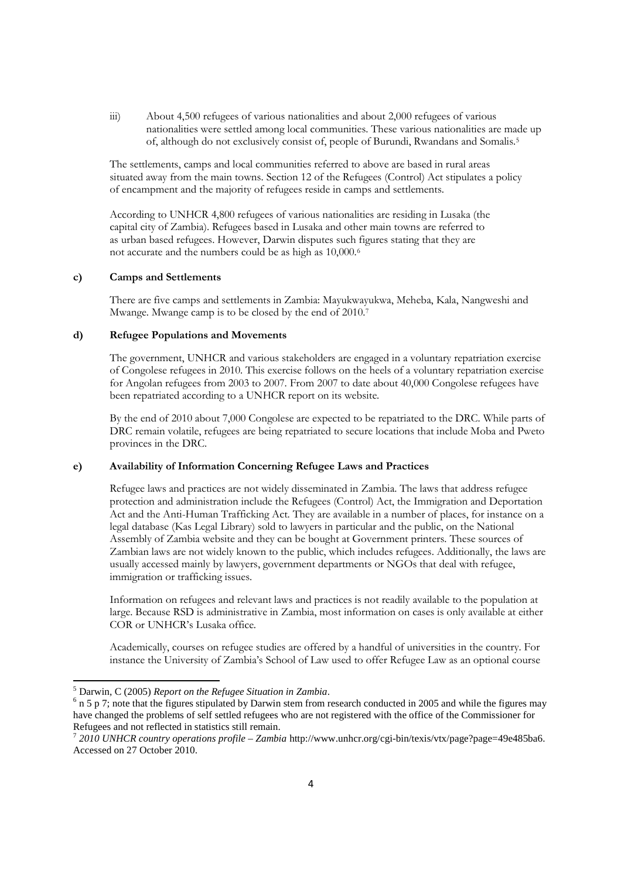iii) About 4,500 refugees of various nationalities and about 2,000 refugees of various nationalities were settled among local communities. These various nationalities are made up of, although do not exclusively consist of, people of Burundi, Rwandans and Somalis.<sup>5</sup>

The settlements, camps and local communities referred to above are based in rural areas situated away from the main towns. Section 12 of the Refugees (Control) Act stipulates a policy of encampment and the majority of refugees reside in camps and settlements.

According to UNHCR 4,800 refugees of various nationalities are residing in Lusaka (the capital city of Zambia). Refugees based in Lusaka and other main towns are referred to as urban based refugees. However, Darwin disputes such figures stating that they are not accurate and the numbers could be as high as 10,000.<sup>6</sup>

#### **c) Camps and Settlements**

There are five camps and settlements in Zambia: Mayukwayukwa, Meheba, Kala, Nangweshi and Mwange. Mwange camp is to be closed by the end of 2010.<sup>7</sup>

#### **d) Refugee Populations and Movements**

The government, UNHCR and various stakeholders are engaged in a voluntary repatriation exercise of Congolese refugees in 2010. This exercise follows on the heels of a voluntary repatriation exercise for Angolan refugees from 2003 to 2007. From 2007 to date about 40,000 Congolese refugees have been repatriated according to a UNHCR report on its website.

By the end of 2010 about 7,000 Congolese are expected to be repatriated to the DRC. While parts of DRC remain volatile, refugees are being repatriated to secure locations that include Moba and Pweto provinces in the DRC.

# **e) Availability of Information Concerning Refugee Laws and Practices**

Refugee laws and practices are not widely disseminated in Zambia. The laws that address refugee protection and administration include the Refugees (Control) Act, the Immigration and Deportation Act and the Anti-Human Trafficking Act. They are available in a number of places, for instance on a legal database (Kas Legal Library) sold to lawyers in particular and the public, on the National Assembly of Zambia website and they can be bought at Government printers. These sources of Zambian laws are not widely known to the public, which includes refugees. Additionally, the laws are usually accessed mainly by lawyers, government departments or NGOs that deal with refugee, immigration or trafficking issues.

Information on refugees and relevant laws and practices is not readily available to the population at large. Because RSD is administrative in Zambia, most information on cases is only available at either COR or UNHCR's Lusaka office.

Academically, courses on refugee studies are offered by a handful of universities in the country. For instance the University of Zambia's School of Law used to offer Refugee Law as an optional course

<sup>5</sup> Darwin, C (2005) *Report on the Refugee Situation in Zambia*.

 $6$  n 5 p 7; note that the figures stipulated by Darwin stem from research conducted in 2005 and while the figures may have changed the problems of self settled refugees who are not registered with the office of the Commissioner for Refugees and not reflected in statistics still remain.

<sup>7</sup> *2010 UNHCR country operations profile – Zambia* http://www.unhcr.org/cgi-bin/texis/vtx/page?page=49e485ba6. Accessed on 27 October 2010.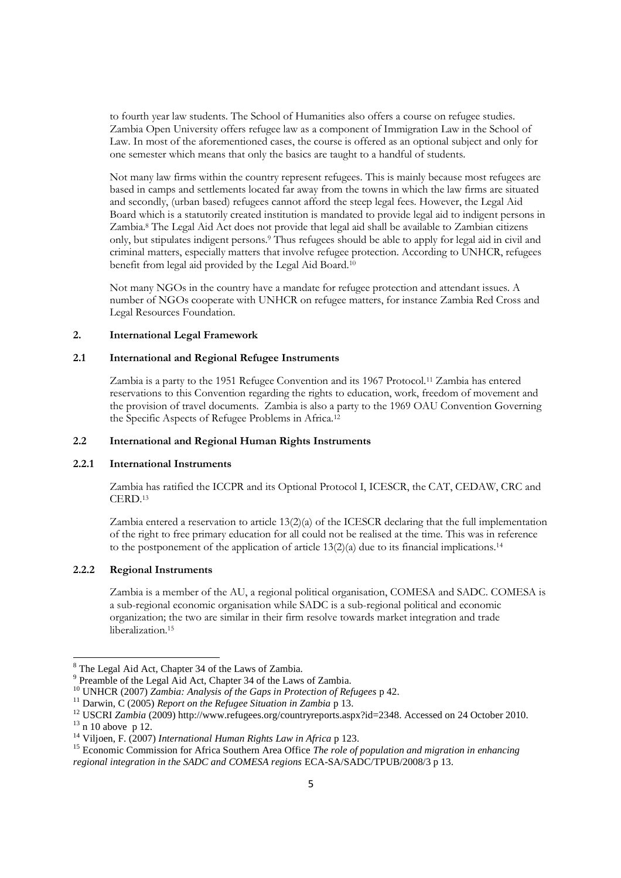to fourth year law students. The School of Humanities also offers a course on refugee studies. Zambia Open University offers refugee law as a component of Immigration Law in the School of Law. In most of the aforementioned cases, the course is offered as an optional subject and only for one semester which means that only the basics are taught to a handful of students.

Not many law firms within the country represent refugees. This is mainly because most refugees are based in camps and settlements located far away from the towns in which the law firms are situated and secondly, (urban based) refugees cannot afford the steep legal fees. However, the Legal Aid Board which is a statutorily created institution is mandated to provide legal aid to indigent persons in Zambia.<sup>8</sup> The Legal Aid Act does not provide that legal aid shall be available to Zambian citizens only, but stipulates indigent persons.<sup>9</sup> Thus refugees should be able to apply for legal aid in civil and criminal matters, especially matters that involve refugee protection. According to UNHCR, refugees benefit from legal aid provided by the Legal Aid Board.<sup>10</sup>

Not many NGOs in the country have a mandate for refugee protection and attendant issues. A number of NGOs cooperate with UNHCR on refugee matters, for instance Zambia Red Cross and Legal Resources Foundation.

#### **2. International Legal Framework**

## **2.1 International and Regional Refugee Instruments**

Zambia is a party to the 1951 Refugee Convention and its 1967 Protocol.<sup>11</sup> Zambia has entered reservations to this Convention regarding the rights to education, work, freedom of movement and the provision of travel documents. Zambia is also a party to the 1969 OAU Convention Governing the Specific Aspects of Refugee Problems in Africa.<sup>12</sup>

## **2.2 International and Regional Human Rights Instruments**

# **2.2.1 International Instruments**

Zambia has ratified the ICCPR and its Optional Protocol I, ICESCR, the CAT, CEDAW, CRC and CERD.<sup>13</sup>

Zambia entered a reservation to article 13(2)(a) of the ICESCR declaring that the full implementation of the right to free primary education for all could not be realised at the time. This was in reference to the postponement of the application of article  $13(2)(a)$  due to its financial implications.<sup>14</sup>

### **2.2.2 Regional Instruments**

Zambia is a member of the AU, a regional political organisation, COMESA and SADC. COMESA is a sub-regional economic organisation while SADC is a sub-regional political and economic organization; the two are similar in their firm resolve towards market integration and trade liberalization.<sup>15</sup>

<sup>8</sup> The Legal Aid Act, Chapter 34 of the Laws of Zambia.

<sup>&</sup>lt;sup>9</sup> Preamble of the Legal Aid Act, Chapter 34 of the Laws of Zambia.

<sup>10</sup> UNHCR (2007) *Zambia: Analysis of the Gaps in Protection of Refugees* p 42.

<sup>11</sup> Darwin, C (2005) *Report on the Refugee Situation in Zambia* p 13.

<sup>&</sup>lt;sup>12</sup> USCRI *Zambia* (2009) http://www.refugees.org/countryreports.aspx?id=2348. Accessed on 24 October 2010.

 $13 \text{ n } 10$  above p 12.

<sup>14</sup> Viljoen, F. (2007) *International Human Rights Law in Africa* p 123.

<sup>&</sup>lt;sup>15</sup> Economic Commission for Africa Southern Area Office *The role of population and migration in enhancing regional integration in the SADC and COMESA regions* ECA-SA/SADC/TPUB/2008/3 p 13.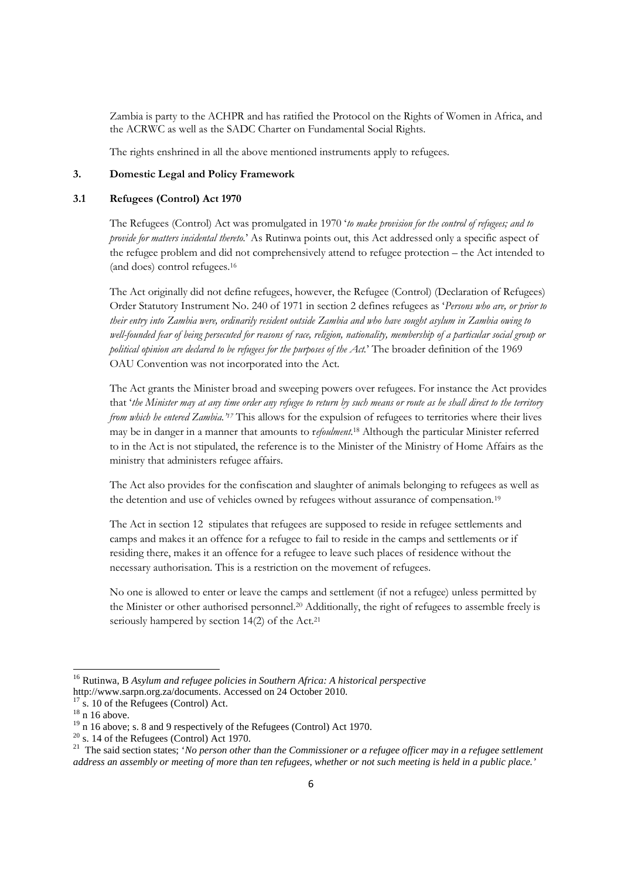Zambia is party to the ACHPR and has ratified the Protocol on the Rights of Women in Africa, and the ACRWC as well as the SADC Charter on Fundamental Social Rights.

The rights enshrined in all the above mentioned instruments apply to refugees.

## **3. Domestic Legal and Policy Framework**

#### **3.1 Refugees (Control) Act 1970**

The Refugees (Control) Act was promulgated in 1970 '*to make provision for the control of refugees; and to provide for matters incidental thereto.*' As Rutinwa points out, this Act addressed only a specific aspect of the refugee problem and did not comprehensively attend to refugee protection – the Act intended to (and does) control refugees.<sup>16</sup>

The Act originally did not define refugees, however, the Refugee (Control) (Declaration of Refugees) Order Statutory Instrument No. 240 of 1971 in section 2 defines refugees as '*Persons who are, or prior to their entry into Zambia were, ordinarily resident outside Zambia and who have sought asylum in Zambia owing to well-founded fear of being persecuted for reasons of race, religion, nationality, membership of a particular social group or political opinion are declared to be refugees for the purposes of the Act.*' The broader definition of the 1969 OAU Convention was not incorporated into the Act.

The Act grants the Minister broad and sweeping powers over refugees. For instance the Act provides that '*the Minister may at any time order any refugee to return by such means or route as he shall direct to the territory from which he entered Zambia.'<sup>17</sup>* This allows for the expulsion of refugees to territories where their lives may be in danger in a manner that amounts to r*efoulment*. <sup>18</sup> Although the particular Minister referred to in the Act is not stipulated, the reference is to the Minister of the Ministry of Home Affairs as the ministry that administers refugee affairs.

The Act also provides for the confiscation and slaughter of animals belonging to refugees as well as the detention and use of vehicles owned by refugees without assurance of compensation.<sup>19</sup>

The Act in section 12 stipulates that refugees are supposed to reside in refugee settlements and camps and makes it an offence for a refugee to fail to reside in the camps and settlements or if residing there, makes it an offence for a refugee to leave such places of residence without the necessary authorisation. This is a restriction on the movement of refugees.

No one is allowed to enter or leave the camps and settlement (if not a refugee) unless permitted by the Minister or other authorised personnel.<sup>20</sup> Additionally, the right of refugees to assemble freely is seriously hampered by section 14(2) of the Act.<sup>21</sup>

<sup>16</sup> Rutinwa, B *Asylum and refugee policies in Southern Africa: A historical perspective*

http://www.sarpn.org.za/documents. Accessed on 24 October 2010.

s. 10 of the Refugees (Control) Act.

 $18 \text{ n}$  16 above.

<sup>&</sup>lt;sup>19</sup> n 16 above; s. 8 and 9 respectively of the Refugees (Control) Act 1970.

 $20$  s. 14 of the Refugees (Control) Act 1970.

<sup>&</sup>lt;sup>21</sup> The said section states; '*No person other than the Commissioner or a refugee officer may in a refugee settlement address an assembly or meeting of more than ten refugees, whether or not such meeting is held in a public place.'*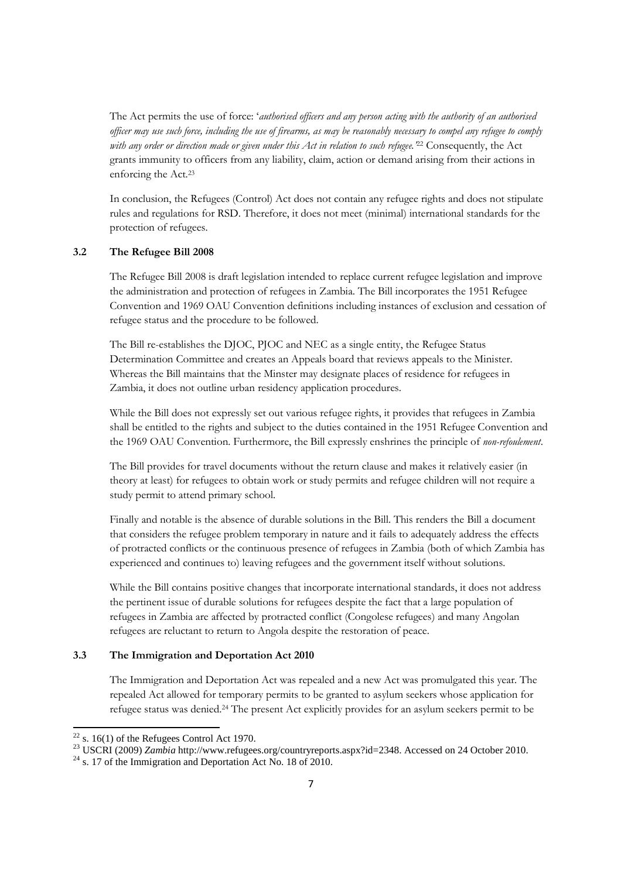The Act permits the use of force: '*authorised officers and any person acting with the authority of an authorised officer may use such force, including the use of firearms, as may be reasonably necessary to compel any refugee to comply with any order or direction made or given under this Act in relation to such refugee.'*<sup>22</sup> Consequently, the Act grants immunity to officers from any liability, claim, action or demand arising from their actions in enforcing the Act.<sup>23</sup>

In conclusion, the Refugees (Control) Act does not contain any refugee rights and does not stipulate rules and regulations for RSD. Therefore, it does not meet (minimal) international standards for the protection of refugees.

#### **3.2 The Refugee Bill 2008**

The Refugee Bill 2008 is draft legislation intended to replace current refugee legislation and improve the administration and protection of refugees in Zambia. The Bill incorporates the 1951 Refugee Convention and 1969 OAU Convention definitions including instances of exclusion and cessation of refugee status and the procedure to be followed.

The Bill re-establishes the DJOC, PJOC and NEC as a single entity, the Refugee Status Determination Committee and creates an Appeals board that reviews appeals to the Minister. Whereas the Bill maintains that the Minster may designate places of residence for refugees in Zambia, it does not outline urban residency application procedures.

While the Bill does not expressly set out various refugee rights, it provides that refugees in Zambia shall be entitled to the rights and subject to the duties contained in the 1951 Refugee Convention and the 1969 OAU Convention. Furthermore, the Bill expressly enshrines the principle of *non-refoulement*.

The Bill provides for travel documents without the return clause and makes it relatively easier (in theory at least) for refugees to obtain work or study permits and refugee children will not require a study permit to attend primary school.

Finally and notable is the absence of durable solutions in the Bill. This renders the Bill a document that considers the refugee problem temporary in nature and it fails to adequately address the effects of protracted conflicts or the continuous presence of refugees in Zambia (both of which Zambia has experienced and continues to) leaving refugees and the government itself without solutions.

While the Bill contains positive changes that incorporate international standards, it does not address the pertinent issue of durable solutions for refugees despite the fact that a large population of refugees in Zambia are affected by protracted conflict (Congolese refugees) and many Angolan refugees are reluctant to return to Angola despite the restoration of peace.

# **3.3 The Immigration and Deportation Act 2010**

The Immigration and Deportation Act was repealed and a new Act was promulgated this year. The repealed Act allowed for temporary permits to be granted to asylum seekers whose application for refugee status was denied.<sup>24</sup> The present Act explicitly provides for an asylum seekers permit to be

 $22$  s. 16(1) of the Refugees Control Act 1970.

<sup>23</sup> USCRI (2009) *Zambia* http://www.refugees.org/countryreports.aspx?id=2348. Accessed on 24 October 2010.

 $^{24}$  s. 17 of the Immigration and Deportation Act No. 18 of 2010.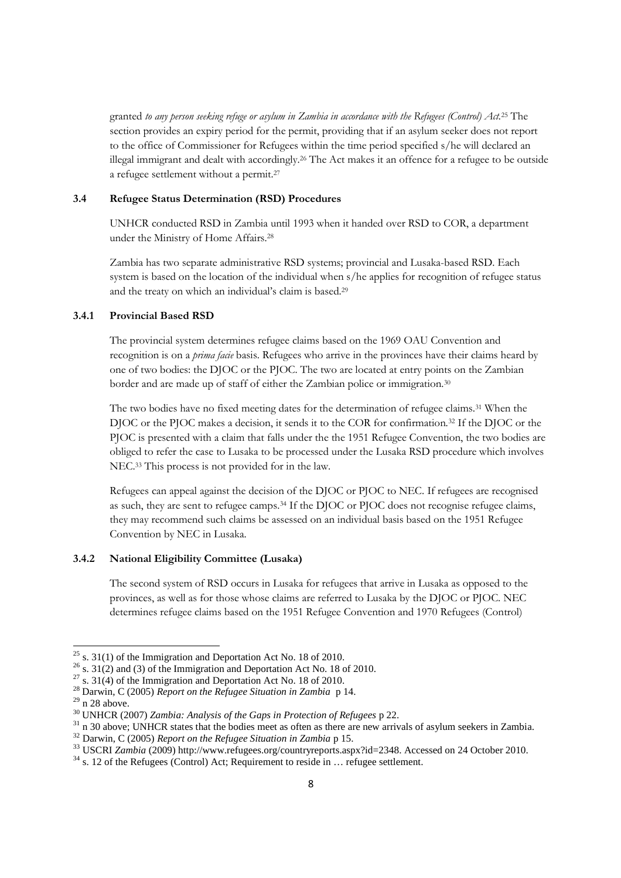granted *to any person seeking refuge or asylum in Zambia in accordance with the Refugees (Control) Act.*<sup>25</sup> The section provides an expiry period for the permit, providing that if an asylum seeker does not report to the office of Commissioner for Refugees within the time period specified s/he will declared an illegal immigrant and dealt with accordingly.<sup>26</sup> The Act makes it an offence for a refugee to be outside a refugee settlement without a permit.<sup>27</sup>

#### **3.4 Refugee Status Determination (RSD) Procedures**

UNHCR conducted RSD in Zambia until 1993 when it handed over RSD to COR, a department under the Ministry of Home Affairs.<sup>28</sup>

Zambia has two separate administrative RSD systems; provincial and Lusaka-based RSD. Each system is based on the location of the individual when s/he applies for recognition of refugee status and the treaty on which an individual's claim is based.<sup>29</sup>

## **3.4.1 Provincial Based RSD**

The provincial system determines refugee claims based on the 1969 OAU Convention and recognition is on a *prima facie* basis. Refugees who arrive in the provinces have their claims heard by one of two bodies: the DJOC or the PJOC. The two are located at entry points on the Zambian border and are made up of staff of either the Zambian police or immigration.<sup>30</sup>

The two bodies have no fixed meeting dates for the determination of refugee claims.<sup>31</sup> When the DJOC or the PJOC makes a decision, it sends it to the COR for confirmation.<sup>32</sup> If the DJOC or the PJOC is presented with a claim that falls under the the 1951 Refugee Convention, the two bodies are obliged to refer the case to Lusaka to be processed under the Lusaka RSD procedure which involves NEC.<sup>33</sup> This process is not provided for in the law.

Refugees can appeal against the decision of the DJOC or PJOC to NEC. If refugees are recognised as such, they are sent to refugee camps.<sup>34</sup> If the DJOC or PJOC does not recognise refugee claims, they may recommend such claims be assessed on an individual basis based on the 1951 Refugee Convention by NEC in Lusaka.

# **3.4.2 National Eligibility Committee (Lusaka)**

The second system of RSD occurs in Lusaka for refugees that arrive in Lusaka as opposed to the provinces, as well as for those whose claims are referred to Lusaka by the DJOC or PJOC. NEC determines refugee claims based on the 1951 Refugee Convention and 1970 Refugees (Control)

 $25$  s. 31(1) of the Immigration and Deportation Act No. 18 of 2010.

 $26$  s. 31(2) and (3) of the Immigration and Deportation Act No. 18 of 2010.

 $27$  s. 31(4) of the Immigration and Deportation Act No. 18 of 2010.

<sup>28</sup> Darwin, C (2005) *Report on the Refugee Situation in Zambia* p 14.

 $29 \text{ n } 28$  above.

<sup>30</sup> UNHCR (2007) *Zambia: Analysis of the Gaps in Protection of Refugees* p 22.

<sup>&</sup>lt;sup>31</sup> n 30 above; UNHCR states that the bodies meet as often as there are new arrivals of asylum seekers in Zambia.

<sup>32</sup> Darwin, C (2005) *Report on the Refugee Situation in Zambia* p 15.

<sup>&</sup>lt;sup>33</sup> USCRI *Zambia* (2009) http://www.refugees.org/countryreports.aspx?id=2348. Accessed on 24 October 2010.

<sup>&</sup>lt;sup>34</sup> s. 12 of the Refugees (Control) Act; Requirement to reside in ... refugee settlement.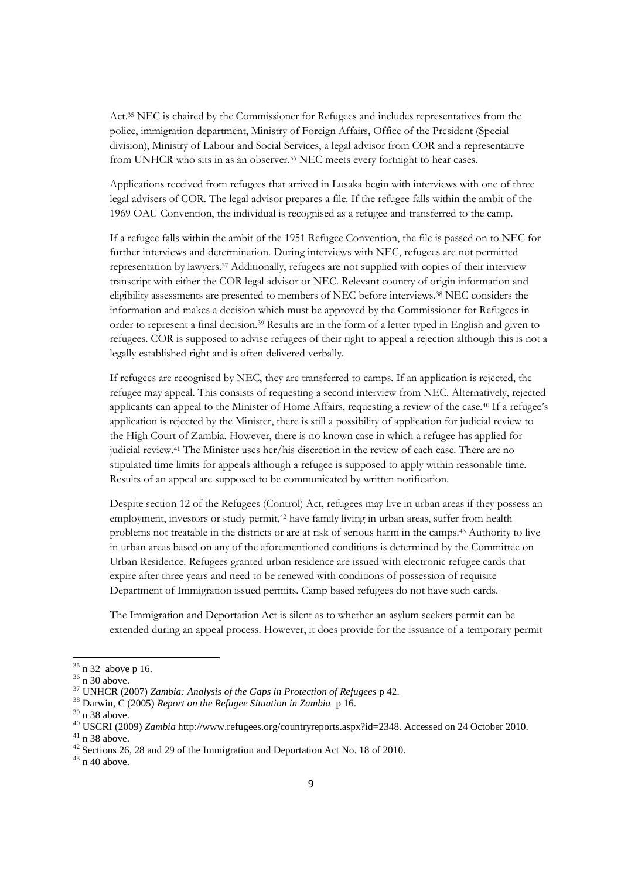Act.<sup>35</sup> NEC is chaired by the Commissioner for Refugees and includes representatives from the police, immigration department, Ministry of Foreign Affairs, Office of the President (Special division), Ministry of Labour and Social Services, a legal advisor from COR and a representative from UNHCR who sits in as an observer.<sup>36</sup> NEC meets every fortnight to hear cases.

Applications received from refugees that arrived in Lusaka begin with interviews with one of three legal advisers of COR. The legal advisor prepares a file. If the refugee falls within the ambit of the 1969 OAU Convention, the individual is recognised as a refugee and transferred to the camp.

If a refugee falls within the ambit of the 1951 Refugee Convention, the file is passed on to NEC for further interviews and determination. During interviews with NEC, refugees are not permitted representation by lawyers.<sup>37</sup> Additionally, refugees are not supplied with copies of their interview transcript with either the COR legal advisor or NEC. Relevant country of origin information and eligibility assessments are presented to members of NEC before interviews.<sup>38</sup> NEC considers the information and makes a decision which must be approved by the Commissioner for Refugees in order to represent a final decision.<sup>39</sup> Results are in the form of a letter typed in English and given to refugees. COR is supposed to advise refugees of their right to appeal a rejection although this is not a legally established right and is often delivered verbally.

If refugees are recognised by NEC, they are transferred to camps. If an application is rejected, the refugee may appeal. This consists of requesting a second interview from NEC. Alternatively, rejected applicants can appeal to the Minister of Home Affairs, requesting a review of the case.<sup>40</sup> If a refugee's application is rejected by the Minister, there is still a possibility of application for judicial review to the High Court of Zambia. However, there is no known case in which a refugee has applied for judicial review.<sup>41</sup> The Minister uses her/his discretion in the review of each case. There are no stipulated time limits for appeals although a refugee is supposed to apply within reasonable time. Results of an appeal are supposed to be communicated by written notification.

Despite section 12 of the Refugees (Control) Act, refugees may live in urban areas if they possess an employment, investors or study permit,<sup>42</sup> have family living in urban areas, suffer from health problems not treatable in the districts or are at risk of serious harm in the camps.<sup>43</sup> Authority to live in urban areas based on any of the aforementioned conditions is determined by the Committee on Urban Residence. Refugees granted urban residence are issued with electronic refugee cards that expire after three years and need to be renewed with conditions of possession of requisite Department of Immigration issued permits. Camp based refugees do not have such cards.

The Immigration and Deportation Act is silent as to whether an asylum seekers permit can be extended during an appeal process. However, it does provide for the issuance of a temporary permit

<sup>35</sup> n 32 above p 16.

<sup>36</sup> n 30 above.

<sup>37</sup> UNHCR (2007) *Zambia: Analysis of the Gaps in Protection of Refugees* p 42.

<sup>38</sup> Darwin, C (2005) *Report on the Refugee Situation in Zambia* p 16.

 $39$  n 38 above.

<sup>40</sup> USCRI (2009) *Zambia* http://www.refugees.org/countryreports.aspx?id=2348. Accessed on 24 October 2010.

 $41$  n 38 above.

<sup>&</sup>lt;sup>42</sup> Sections 26, 28 and 29 of the Immigration and Deportation Act No. 18 of 2010.

 $43$  n 40 above.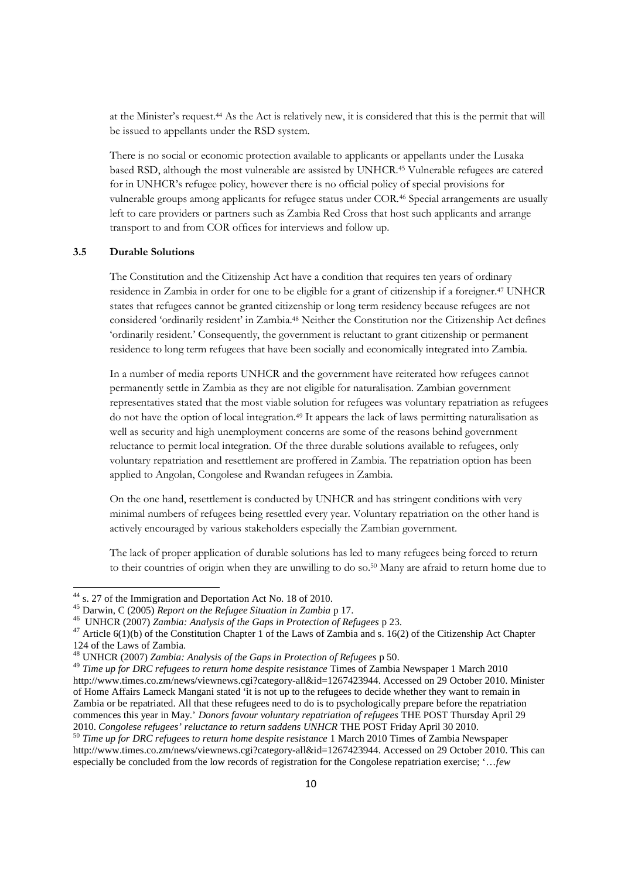at the Minister's request.<sup>44</sup> As the Act is relatively new, it is considered that this is the permit that will be issued to appellants under the RSD system.

There is no social or economic protection available to applicants or appellants under the Lusaka based RSD, although the most vulnerable are assisted by UNHCR.<sup>45</sup> Vulnerable refugees are catered for in UNHCR's refugee policy, however there is no official policy of special provisions for vulnerable groups among applicants for refugee status under COR.<sup>46</sup> Special arrangements are usually left to care providers or partners such as Zambia Red Cross that host such applicants and arrange transport to and from COR offices for interviews and follow up.

#### **3.5 Durable Solutions**

The Constitution and the Citizenship Act have a condition that requires ten years of ordinary residence in Zambia in order for one to be eligible for a grant of citizenship if a foreigner.<sup>47</sup> UNHCR states that refugees cannot be granted citizenship or long term residency because refugees are not considered 'ordinarily resident' in Zambia.<sup>48</sup> Neither the Constitution nor the Citizenship Act defines 'ordinarily resident.' Consequently, the government is reluctant to grant citizenship or permanent residence to long term refugees that have been socially and economically integrated into Zambia.

In a number of media reports UNHCR and the government have reiterated how refugees cannot permanently settle in Zambia as they are not eligible for naturalisation. Zambian government representatives stated that the most viable solution for refugees was voluntary repatriation as refugees do not have the option of local integration.<sup>49</sup> It appears the lack of laws permitting naturalisation as well as security and high unemployment concerns are some of the reasons behind government reluctance to permit local integration. Of the three durable solutions available to refugees, only voluntary repatriation and resettlement are proffered in Zambia. The repatriation option has been applied to Angolan, Congolese and Rwandan refugees in Zambia.

On the one hand, resettlement is conducted by UNHCR and has stringent conditions with very minimal numbers of refugees being resettled every year. Voluntary repatriation on the other hand is actively encouraged by various stakeholders especially the Zambian government.

The lack of proper application of durable solutions has led to many refugees being forced to return to their countries of origin when they are unwilling to do so.<sup>50</sup> Many are afraid to return home due to

<sup>44</sup> s. 27 of the Immigration and Deportation Act No. 18 of 2010.

<sup>45</sup> Darwin, C (2005) *Report on the Refugee Situation in Zambia* p 17.

<sup>46</sup> UNHCR (2007) *Zambia: Analysis of the Gaps in Protection of Refugees* p 23.

<sup>&</sup>lt;sup>47</sup> Article 6(1)(b) of the Constitution Chapter 1 of the Laws of Zambia and s. 16(2) of the Citizenship Act Chapter 124 of the Laws of Zambia.

<sup>48</sup> UNHCR (2007) *Zambia: Analysis of the Gaps in Protection of Refugees* p 50.

<sup>49</sup> *Time up for DRC refugees to return home despite resistance* Times of Zambia Newspaper 1 March 2010 http://www.times.co.zm/news/viewnews.cgi?category-all&id=1267423944. Accessed on 29 October 2010. Minister of Home Affairs Lameck Mangani stated 'it is not up to the refugees to decide whether they want to remain in Zambia or be repatriated. All that these refugees need to do is to psychologically prepare before the repatriation commences this year in May.' *Donors favour voluntary repatriation of refugees* THE POST Thursday April 29 2010. *Congolese refugees' reluctance to return saddens UNHCR* THE POST Friday April 30 2010.

<sup>50</sup> *Time up for DRC refugees to return home despite resistance* 1 March 2010 Times of Zambia Newspaper http://www.times.co.zm/news/viewnews.cgi?category-all&id=1267423944. Accessed on 29 October 2010. This can especially be concluded from the low records of registration for the Congolese repatriation exercise; '…*few*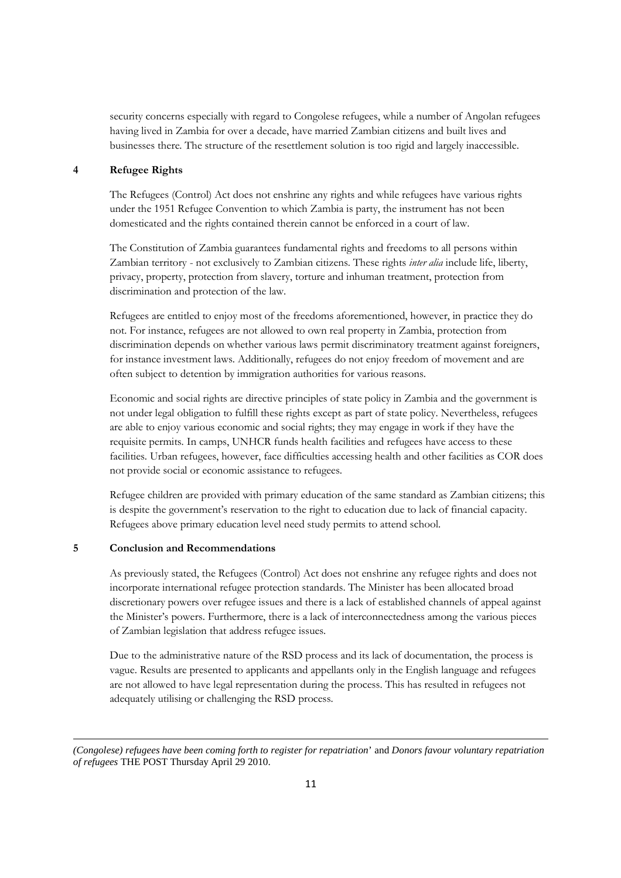security concerns especially with regard to Congolese refugees, while a number of Angolan refugees having lived in Zambia for over a decade, have married Zambian citizens and built lives and businesses there. The structure of the resettlement solution is too rigid and largely inaccessible.

## **4 Refugee Rights**

The Refugees (Control) Act does not enshrine any rights and while refugees have various rights under the 1951 Refugee Convention to which Zambia is party, the instrument has not been domesticated and the rights contained therein cannot be enforced in a court of law.

The Constitution of Zambia guarantees fundamental rights and freedoms to all persons within Zambian territory - not exclusively to Zambian citizens. These rights *inter alia* include life, liberty, privacy, property, protection from slavery, torture and inhuman treatment, protection from discrimination and protection of the law.

Refugees are entitled to enjoy most of the freedoms aforementioned, however, in practice they do not. For instance, refugees are not allowed to own real property in Zambia, protection from discrimination depends on whether various laws permit discriminatory treatment against foreigners, for instance investment laws. Additionally, refugees do not enjoy freedom of movement and are often subject to detention by immigration authorities for various reasons.

Economic and social rights are directive principles of state policy in Zambia and the government is not under legal obligation to fulfill these rights except as part of state policy. Nevertheless, refugees are able to enjoy various economic and social rights; they may engage in work if they have the requisite permits. In camps, UNHCR funds health facilities and refugees have access to these facilities. Urban refugees, however, face difficulties accessing health and other facilities as COR does not provide social or economic assistance to refugees.

Refugee children are provided with primary education of the same standard as Zambian citizens; this is despite the government's reservation to the right to education due to lack of financial capacity. Refugees above primary education level need study permits to attend school.

## **5 Conclusion and Recommendations**

As previously stated, the Refugees (Control) Act does not enshrine any refugee rights and does not incorporate international refugee protection standards. The Minister has been allocated broad discretionary powers over refugee issues and there is a lack of established channels of appeal against the Minister's powers. Furthermore, there is a lack of interconnectedness among the various pieces of Zambian legislation that address refugee issues.

Due to the administrative nature of the RSD process and its lack of documentation, the process is vague. Results are presented to applicants and appellants only in the English language and refugees are not allowed to have legal representation during the process. This has resulted in refugees not adequately utilising or challenging the RSD process.

*<sup>(</sup>Congolese) refugees have been coming forth to register for repatriation*' and *Donors favour voluntary repatriation of refugees* THE POST Thursday April 29 2010.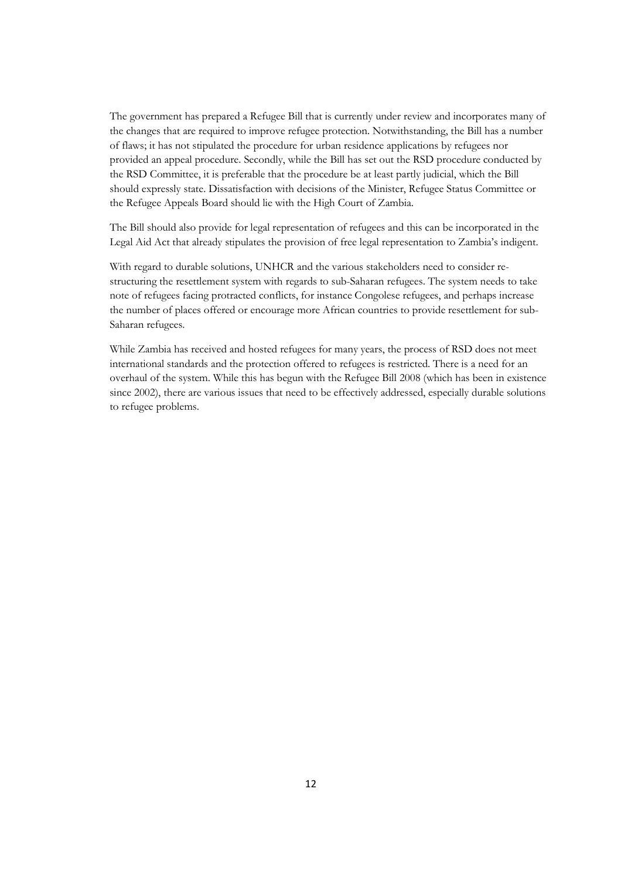The government has prepared a Refugee Bill that is currently under review and incorporates many of the changes that are required to improve refugee protection. Notwithstanding, the Bill has a number of flaws; it has not stipulated the procedure for urban residence applications by refugees nor provided an appeal procedure. Secondly, while the Bill has set out the RSD procedure conducted by the RSD Committee, it is preferable that the procedure be at least partly judicial, which the Bill should expressly state. Dissatisfaction with decisions of the Minister, Refugee Status Committee or the Refugee Appeals Board should lie with the High Court of Zambia.

The Bill should also provide for legal representation of refugees and this can be incorporated in the Legal Aid Act that already stipulates the provision of free legal representation to Zambia's indigent.

With regard to durable solutions, UNHCR and the various stakeholders need to consider restructuring the resettlement system with regards to sub-Saharan refugees. The system needs to take note of refugees facing protracted conflicts, for instance Congolese refugees, and perhaps increase the number of places offered or encourage more African countries to provide resettlement for sub-Saharan refugees.

While Zambia has received and hosted refugees for many years, the process of RSD does not meet international standards and the protection offered to refugees is restricted. There is a need for an overhaul of the system. While this has begun with the Refugee Bill 2008 (which has been in existence since 2002), there are various issues that need to be effectively addressed, especially durable solutions to refugee problems.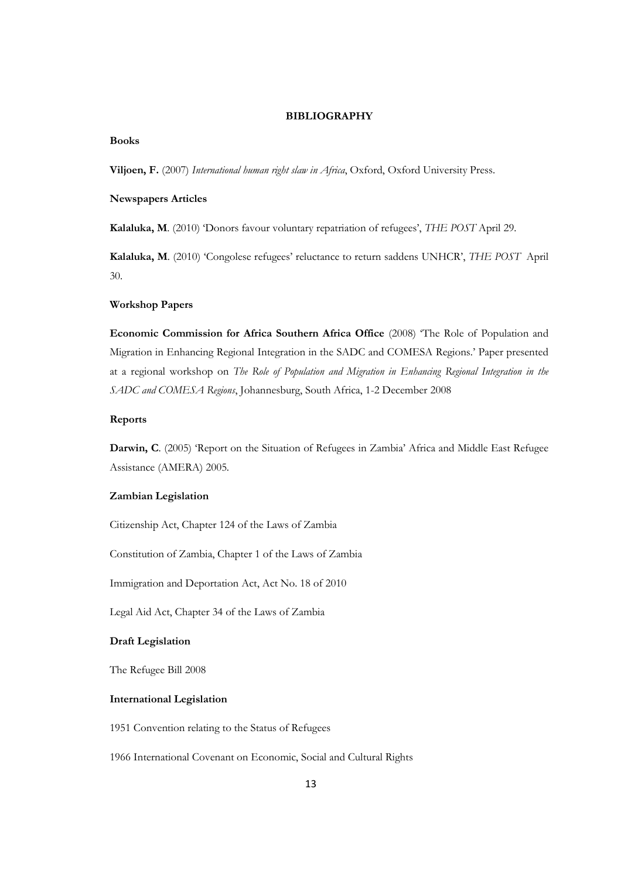#### **BIBLIOGRAPHY**

#### **Books**

**Viljoen, F.** (2007) *International human right slaw in Africa*, Oxford, Oxford University Press.

#### **Newspapers Articles**

**Kalaluka, M**. (2010) 'Donors favour voluntary repatriation of refugees', *THE POST* April 29.

**Kalaluka, M**. (2010) 'Congolese refugees' reluctance to return saddens UNHCR', *THE POST* April 30.

## **Workshop Papers**

**Economic Commission for Africa Southern Africa Office** (2008) 'The Role of Population and Migration in Enhancing Regional Integration in the SADC and COMESA Regions.' Paper presented at a regional workshop on *The Role of Population and Migration in Enhancing Regional Integration in the SADC and COMESA Regions*, Johannesburg, South Africa, 1-2 December 2008

#### **Reports**

**Darwin, C**. (2005) 'Report on the Situation of Refugees in Zambia' Africa and Middle East Refugee Assistance (AMERA) 2005.

#### **Zambian Legislation**

Citizenship Act, Chapter 124 of the Laws of Zambia

Constitution of Zambia, Chapter 1 of the Laws of Zambia

Immigration and Deportation Act, Act No. 18 of 2010

Legal Aid Act, Chapter 34 of the Laws of Zambia

#### **Draft Legislation**

The Refugee Bill 2008

#### **International Legislation**

1951 Convention relating to the Status of Refugees

1966 International Covenant on Economic, Social and Cultural Rights